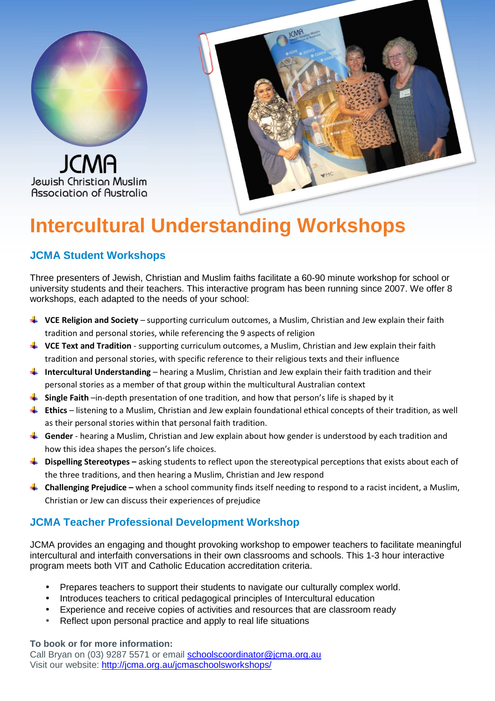

Jewish Christion Muslim Association of Australia



# **Intercultural Understanding Workshops**

### **JCMA Student Workshops**

Three presenters of Jewish, Christian and Muslim faiths facilitate a 60-90 minute workshop for school or university students and their teachers. This interactive program has been running since 2007. We offer 8 workshops, each adapted to the needs of your school:

- $\ddot{\phantom{a}}$  VCE Religion and Society supporting curriculum outcomes, a Muslim, Christian and Jew explain their faith tradition and personal stories, while referencing the 9 aspects of religion
- **UCE Text and Tradition** supporting curriculum outcomes, a Muslim, Christian and Jew explain their faith tradition and personal stories, with specific reference to their religious texts and their influence
- **Intercultural Understanding** hearing a Muslim, Christian and Jew explain their faith tradition and their personal stories as a member of that group within the multicultural Australian context
- $\frac{1}{2}$  Single Faith –in-depth presentation of one tradition, and how that person's life is shaped by it
- **Ethics** listening to a Muslim, Christian and Jew explain foundational ethical concepts of their tradition, as well as their personal stories within that personal faith tradition.
- Gender hearing a Muslim, Christian and Jew explain about how gender is understood by each tradition and how this idea shapes the person's life choices.
- **Dispelling Stereotypes –** asking students to reflect upon the stereotypical perceptions that exists about each of the three traditions, and then hearing a Muslim, Christian and Jew respond
- **Let up all enging Prejudice** when a school community finds itself needing to respond to a racist incident, a Muslim, Christian or Jew can discuss their experiences of prejudice

#### **JCMA Teacher Professional Development Workshop**

JCMA provides an engaging and thought provoking workshop to empower teachers to facilitate meaningful intercultural and interfaith conversations in their own classrooms and schools. This 1-3 hour interactive program meets both VIT and Catholic Education accreditation criteria.

- Prepares teachers to support their students to navigate our culturally complex world.
- Introduces teachers to critical pedagogical principles of Intercultural education
- Experience and receive copies of activities and resources that are classroom ready
- Reflect upon personal practice and apply to real life situations

**To book or for more information:** 

Call Bryan on (03) 9287 5571 or email schoolscoordinator@jcma.org.au Visit our website: http://jcma.org.au/jcmaschoolsworkshops/